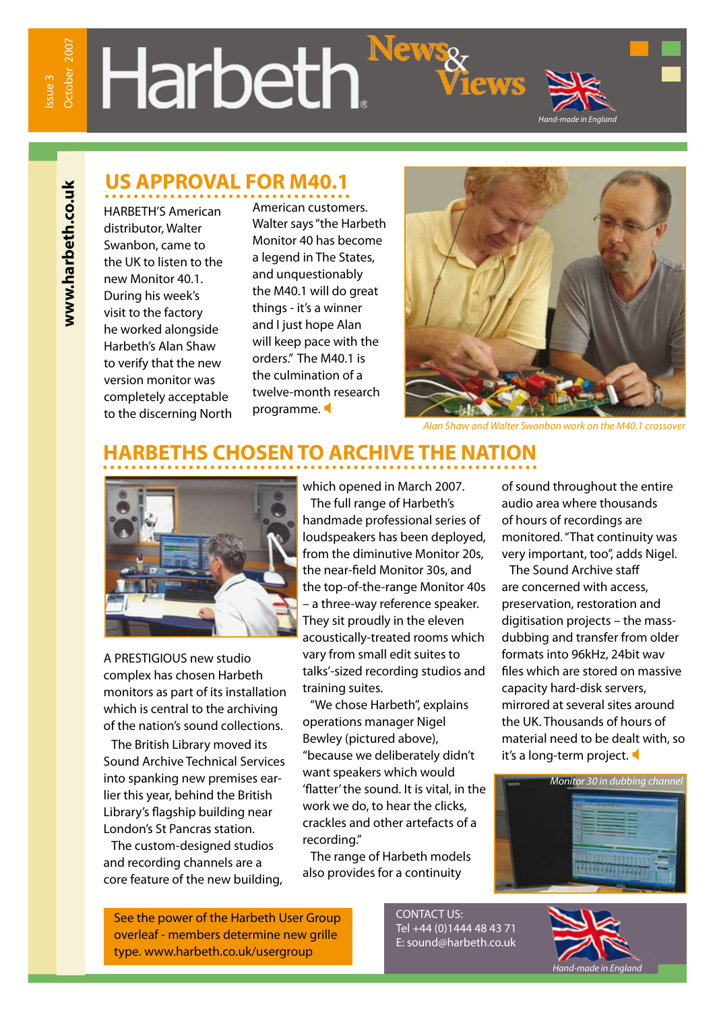**www.harbeth.co.uk**

www.harbeth.co.uk

# Harbeth.<sup>Nev</sup>



HARBETH'S American distributor, Walter Swanbon, came to the UK to listen to the new Monitor 40.1. During his week's visit to the factory he worked alongside Harbeth's Alan Shaw to verify that the new version monitor was completely acceptable to the discerning North American customers. Walter says "the Harbeth Monitor 40 has become a legend in The States, and unquestionably the M40.1 will do great things - it's a winner and I just hope Alan will keep pace with the orders." The M40.1 is the culmination of a twelve-month research programme.



*Hand-made in England*

**EWS** 

*Alan Shaw and Walter Swanbon work on the M40.1 crossover*

# **HARBETHS CHOSEN TO ARCHIVE THE NATION**



A PRESTIGIOUS new studio complex has chosen Harbeth monitors as part of its installation which is central to the archiving of the nation's sound collections.

 The British Library moved its Sound Archive Technical Services into spanking new premises earlier this year, behind the British Library's flagship building near London's St Pancras station.

 The custom-designed studios and recording channels are a core feature of the new building,

which opened in March 2007. The full range of Harbeth's handmade professional series of loudspeakers has been deployed, from the diminutive Monitor 20s, the near-field Monitor 30s, and the top-of-the-range Monitor 40s – a three-way reference speaker. They sit proudly in the eleven acoustically-treated rooms which vary from small edit suites to talks'-sized recording studios and training suites.

 "We chose Harbeth", explains operations manager Nigel Bewley (pictured above), "because we deliberately didn't want speakers which would 'flatter' the sound. It is vital, in the work we do, to hear the clicks, crackles and other artefacts of a recording."

 The range of Harbeth models also provides for a continuity

of sound throughout the entire audio area where thousands of hours of recordings are monitored. "That continuity was very important, too", adds Nigel.

 The Sound Archive staff are concerned with access, preservation, restoration and digitisation projects – the massdubbing and transfer from older formats into 96kHz, 24bit wav files which are stored on massive capacity hard-disk servers, mirrored at several sites around the UK. Thousands of hours of material need to be dealt with, so it's a long-term project.



See the power of the Harbeth User Group overleaf - members determine new grille type. www.harbeth.co.uk/usergroup

CONTACT US: Tel +44 (0)1444 48 43 71 E: sound@harbeth.co.uk